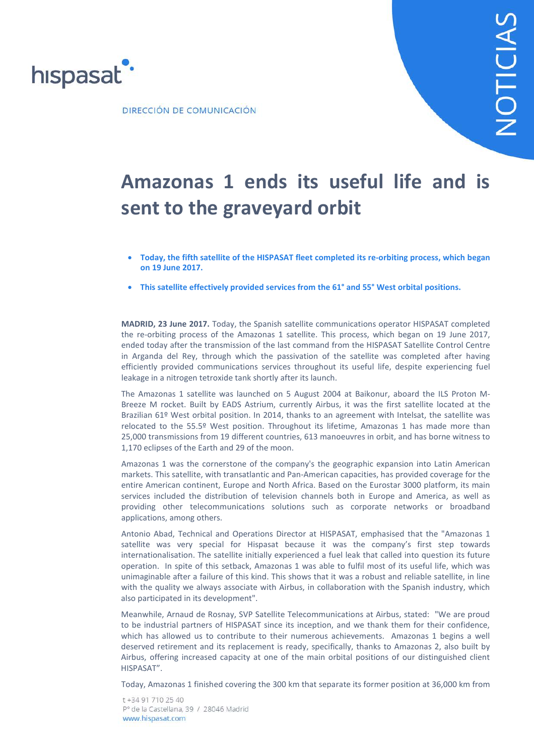

DIRECCIÓN DE COMUNICACIÓN

# **Amazonas 1 ends its useful life and is sent to the graveyard orbit**

- **Today, the fifth satellite of the HISPASAT fleet completed its re-orbiting process, which began on 19 June 2017.**
- **This satellite effectively provided services from the 61° and 55° West orbital positions.**

**MADRID, 23 June 2017.** Today, the Spanish satellite communications operator HISPASAT completed the re-orbiting process of the Amazonas 1 satellite. This process, which began on 19 June 2017, ended today after the transmission of the last command from the HISPASAT Satellite Control Centre in Arganda del Rey, through which the passivation of the satellite was completed after having efficiently provided communications services throughout its useful life, despite experiencing fuel leakage in a nitrogen tetroxide tank shortly after its launch.

The Amazonas 1 satellite was launched on 5 August 2004 at Baikonur, aboard the ILS Proton M-Breeze M rocket. Built by EADS Astrium, currently Airbus, it was the first satellite located at the Brazilian 61º West orbital position. In 2014, thanks to an agreement with Intelsat, the satellite was relocated to the 55.5º West position. Throughout its lifetime, Amazonas 1 has made more than 25,000 transmissions from 19 different countries, 613 manoeuvres in orbit, and has borne witness to 1,170 eclipses of the Earth and 29 of the moon.

Amazonas 1 was the cornerstone of the company's the geographic expansion into Latin American markets. This satellite, with transatlantic and Pan-American capacities, has provided coverage for the entire American continent, Europe and North Africa. Based on the Eurostar 3000 platform, its main services included the distribution of television channels both in Europe and America, as well as providing other telecommunications solutions such as corporate networks or broadband applications, among others.

Antonio Abad, Technical and Operations Director at HISPASAT, emphasised that the "Amazonas 1 satellite was very special for Hispasat because it was the company's first step towards internationalisation. The satellite initially experienced a fuel leak that called into question its future operation. In spite of this setback, Amazonas 1 was able to fulfil most of its useful life, which was unimaginable after a failure of this kind. This shows that it was a robust and reliable satellite, in line with the quality we always associate with Airbus, in collaboration with the Spanish industry, which also participated in its development".

Meanwhile, Arnaud de Rosnay, SVP Satellite Telecommunications at Airbus, stated: "We are proud to be industrial partners of HISPASAT since its inception, and we thank them for their confidence, which has allowed us to contribute to their numerous achievements. Amazonas 1 begins a well deserved retirement and its replacement is ready, specifically, thanks to Amazonas 2, also built by Airbus, offering increased capacity at one of the main orbital positions of our distinguished client HISPASAT".

Today, Amazonas 1 finished covering the 300 km that separate its former position at 36,000 km from

t +34 91 710 25 40 Pº de la Castellana, 39 / 28046 Madrid www.hispasat.com